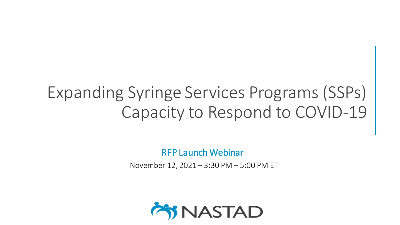# Expanding Syringe Services Programs (SSPs) Capacity to Respond to COVID-19

RFP Launch Webinar

November 12, 2021 – 3:30 PM – 5:00 PM ET

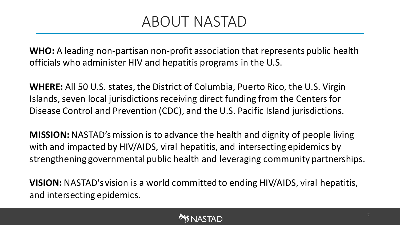### ABOUT NASTAD

**WHO:** A leading non-partisan non-profit association that represents public health officials who administer HIV and hepatitis programs in the U.S.

**WHERE:** All 50 U.S. states, the District of Columbia, Puerto Rico, the U.S. Virgin Islands, seven local jurisdictions receiving direct funding from the Centers for Disease Control and Prevention (CDC), and the U.S. Pacific Island jurisdictions.

**MISSION:** NASTAD's mission is to advance the health and dignity of people living with and impacted by HIV/AIDS, viral hepatitis, and intersecting epidemics by strengthening governmental public health and leveraging community partnerships.

**VISION:** NASTAD's vision is a world committed to ending HIV/AIDS, viral hepatitis, and intersecting epidemics.

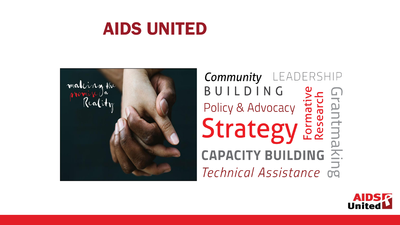# AIDS UNITED



**Community** LEADERSHIP BUILDING BUILDING<br>Policy & Advocacy<br>Strategy Essential akin **CAPACITY BUILDING** Technical Assistance on

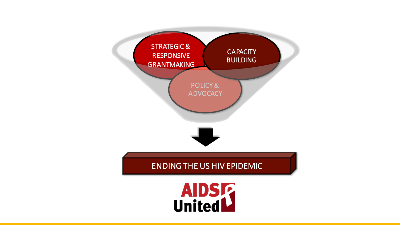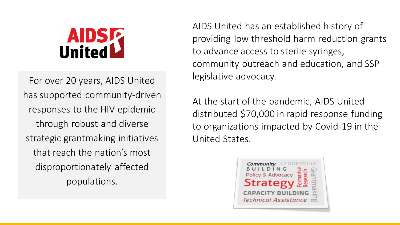# **AIDSR**<br>United

For over 20 years, AIDS United has supported community-driven responses to the HIV epidemic through robust and diverse strategic grantmaking initiatives that reach the nation's most disproportionately affected populations.

AIDS United has an established history of providing low threshold harm reduction grants to advance access to sterile syringes, community outreach and education, and SSP legislative advocacy.

At the start of the pandemic, AIDS United distributed \$70,000 in rapid response funding to organizations impacted by Covid-19 in the United States.

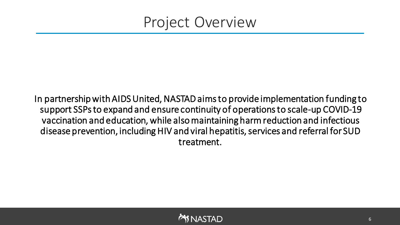### Project Overview

In partnership with AIDS United, NASTAD aims to provide implementation funding to support SSPs to expand and ensure continuity of operations to scale-up COVID-19 vaccination and education, while also maintaining harm reduction and infectious disease prevention, including HIV and viral hepatitis, services and referral for SUD treatment.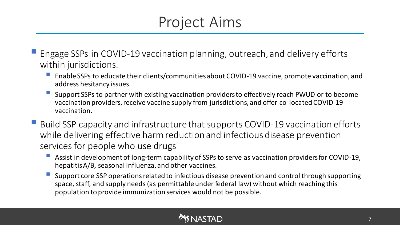### Project Aims

- Engage SSPs in COVID-19 vaccination planning, outreach, and delivery efforts within jurisdictions.
	- Enable SSPs to educate their clients/communities about COVID-19 vaccine, promote vaccination, and address hesitancy issues.
	- Support SSPs to partner with existing vaccination providers to effectively reach PWUD or to become vaccination providers, receive vaccine supply from jurisdictions, and offer co-located COVID-19 vaccination.
- Build SSP capacity and infrastructure that supports COVID-19 vaccination efforts while delivering effective harm reduction and infectious disease prevention services for people who use drugs
	- Assist in development of long-term capability of SSPs to serve as vaccination providers for COVID-19, hepatitis A/B, seasonal influenza, and other vaccines.
	- Support core SSP operations related to infectious disease prevention and control through supporting space, staff, and supply needs (as permittable under federal law) without which reaching this population to provide immunization services would not be possible.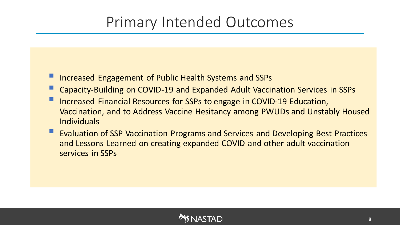### Primary Intended Outcomes

- **E** Increased Engagement of Public Health Systems and SSPs
- Capacity-Building on COVID-19 and Expanded Adult Vaccination Services in SSPs
- Increased Financial Resources for SSPs to engage in COVID-19 Education, Vaccination, and to Address Vaccine Hesitancy among PWUDs and Unstably Housed Individuals
- **Evaluation of SSP Vaccination Programs and Services and Developing Best Practices** and Lessons Learned on creating expanded COVID and other adult vaccination services in SSPs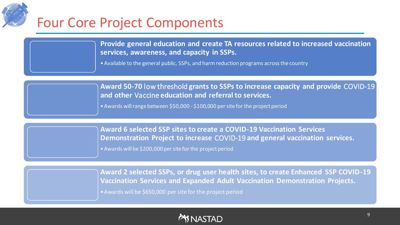

**Provide general education and create TA resources related to increased vaccination services, awareness, and capacity in SSPs.**

•Available to the general public, SSPs, and harm reduction programs across the country

**Award 50-70** low threshold **grants to SSPs to increase capacity and provide** COVID-19 **and other** Vaccine **education and referral to services.**

•Awards will range between \$50,000 - \$100,000 per site for the project period

**Award 6 selected SSP sites to create a COVID-19 Vaccination Services Demonstration Project to increase** COVID-19 **and general vaccination services.** •Awards will be \$200,000 per site for the project period

**Award 2 selected SSPs, or drug user health sites, to create Enhanced SSP COVID-19 Vaccination Services and Expanded Adult Vaccination Demonstration Projects.** •Awards will be \$650,000 per site for the project period

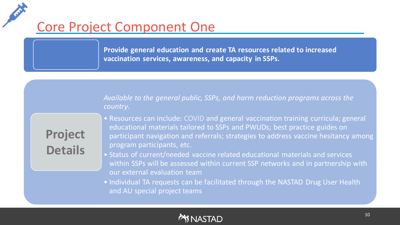### Core Project Component One

**Provide general education and create TA resources related to increased vaccination services, awareness, and capacity in SSPs.**

*Available to the general public, SSPs, and harm reduction programs across the country*.

**Project Details**

- Resources can include: COVID and general vaccination training curricula; general educational materials tailored to SSPs and PWUDs; best practice guides on participant navigation and referrals; strategies to address vaccine hesitancy among program participants, etc.
- Status of current/needed vaccine related educational materials and services within SSPs will be assessed within current SSP networks and in partnership with our external evaluation team
- Individual TA requests can be facilitated through the NASTAD Drug User Health and AU special project teams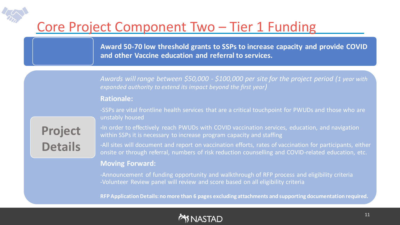### Core Project Component Two – Tier 1 Funding

**Award 50-70 low threshold grants to SSPs to increase capacity and provide COVID and other Vaccine education and referral to services.**

*Awards will range between \$50,000 - \$100,000 per site for the project period (1 year with expanded authority to extend its impact beyond the first year)*

#### **Rationale:**

-SSPs are vital frontline health services that are a critical touchpoint for PWUDs and those who are unstably housed

**Project Details**

**-**In order to effectively reach PWUDs with COVID vaccination services, education, and navigation within SSPs it is necessary to increase program capacity and staffing

-All sites will document and report on vaccination efforts, rates of vaccination for participants, either onsite or through referral, numbers of risk reduction counselling and COVID-related education, etc.

#### **Moving Forward:**

-Announcement of funding opportunity and walkthrough of RFP process and eligibility criteria -Volunteer Review panel will review and score based on all eligibility criteria

**RFP Application Details: no more than 6 pages excluding attachments and supporting documentation required.**

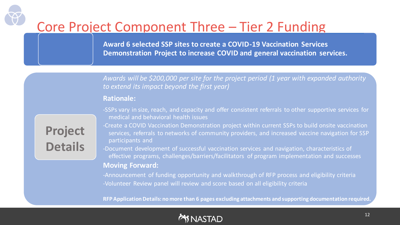### Core Project Component Three – Tier 2 Funding

**Award 6 selected SSP sites to create a COVID-19 Vaccination Services Demonstration Project to increase COVID and general vaccination services.**

*Awards will be \$200,000 per site for the project period (1 year with expanded authority to extend its impact beyond the first year)*

#### **Rationale:**

-SSPs vary in size, reach, and capacity and offer consistent referrals to other supportive services for medical and behavioral health issues

**Project Details**

-Create a COVID Vaccination Demonstration project within current SSPs to build onsite vaccination services, referrals to networks of community providers, and increased vaccine navigation for SSP participants and

-Document development of successful vaccination services and navigation, characteristics of effective programs, challenges/barriers/facilitators of program implementation and successes **Moving Forward:**

-Announcement of funding opportunity and walkthrough of RFP process and eligibility criteria -Volunteer Review panel will review and score based on all eligibility criteria

**RFP Application Details: no more than 6 pages excluding attachments and supporting documentation required.**

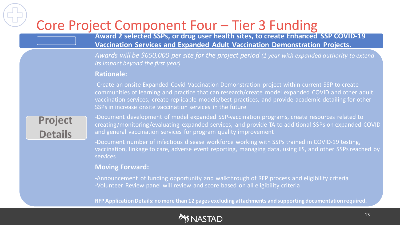### Core Project Component Four – Tier 3 Funding

**Award 2 selected SSPs, or drug user health sites, to create Enhanced SSP COVID-19 Vaccination Services and Expanded Adult Vaccination Demonstration Projects.**

*Awards will be \$650,000 per site for the project period (1 year with expanded authority to extend its impact beyond the first year)*

#### **Rationale:**

-Create an onsite Expanded Covid Vaccination Demonstration project within current SSP to create communities of learning and practice that can research/create model expanded COVID and other adult vaccination services, create replicable models/best practices, and provide academic detailing for other SSPs in increase onsite vaccination services in the future

**Project Details**

-Document development of model expanded SSP-vaccination programs, create resources related to creating/monitoring/evaluating expanded services, and provide TA to additional SSPs on expanded COVID and general vaccination services for program quality improvement

-Document number of infectious disease workforce working with SSPs trained in COVID-19 testing, vaccination, linkage to care, adverse event reporting, managing data, using IIS, and other SSPs reached by services

#### **Moving Forward:**

-Announcement of funding opportunity and walkthrough of RFP process and eligibility criteria -Volunteer Review panel will review and score based on all eligibility criteria

**RFP Application Details: no more than 12 pages excluding attachments and supporting documentation required.**

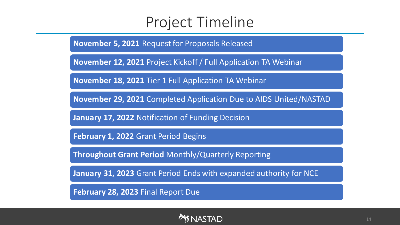### Project Timeline

**November 5, 2021** Request for Proposals Released

**November 12, 2021** Project Kickoff / Full Application TA Webinar

**November 18, 2021** Tier 1 Full Application TA Webinar

**November 29, 2021** Completed Application Due to AIDS United/NASTAD

**January 17, 2022** Notification of Funding Decision

**February 1, 2022** Grant Period Begins

**Throughout Grant Period** Monthly/Quarterly Reporting

**January 31, 2023** Grant Period Ends with expanded authority for NCE

**February 28, 2023** Final Report Due

#### **SNASTAD**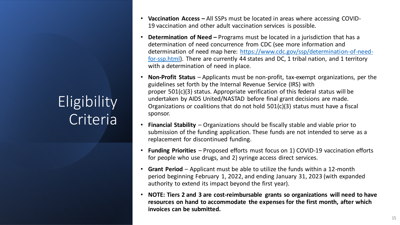# **Eligibility** Criteria

- **Vaccination Access –** All SSPs must be located in areas where accessing COVID-19 vaccination and other adult vaccination services is possible.
- **Determination of Need –** Programs must be located in a jurisdiction that has a determination of need concurrence from CDC (see more information and determination of need map here: [https://www.cdc.gov/ssp/determination-of-need](https://www.cdc.gov/ssp/determination-of-need-for-ssp.html)for-ssp.html). There are currently 44 states and DC, 1 tribal nation, and 1 territory with a determination of need in place.
- **Non-Profit Status** Applicants must be non-profit, tax-exempt organizations, per the guidelines set forth by the Internal Revenue Service (IRS) with proper 501(c)(3) status. Appropriate verification of this federal status will be undertaken by AIDS United/NASTAD before final grant decisions are made. Organizations or coalitions that do not hold 501(c)(3) status must have a fiscal sponsor.
- **Financial Stability** Organizations should be fiscally stable and viable prior to submission of the funding application. These funds are not intended to serve as a replacement for discontinued funding.
- **Funding Priorities** Proposed efforts must focus on 1) COVID-19 vaccination efforts for people who use drugs, and 2) syringe access direct services.
- **Grant Period** Applicant must be able to utilize the funds within a 12-month period beginning February 1, 2022, and ending January 31, 2023 (with expanded authority to extend its impact beyond the first year).
- **NOTE: Tiers 2 and 3 are cost-reimbursable grants so organizations will need to have resources on hand to accommodate the expenses for the first month, after which invoices can be submitted.**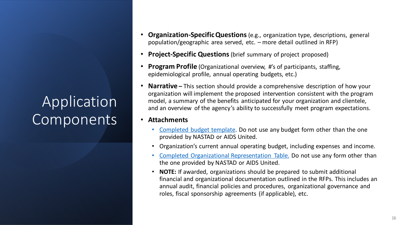## Application Components

- **Organization-Specific Questions**(e.g., organization type, descriptions, general population/geographic area served, etc. – more detail outlined in RFP)
- **Project-Specific Questions** (brief summary of project proposed)
- **Program Profile** (Organizational overview, #'s of participants, staffing, epidemiological profile, annual operating budgets, etc.)
- **Narrative –** This section should provide a comprehensive description of how your organization will implement the proposed intervention consistent with the program model, a summary of the benefits anticipated for your organization and clientele, and an overview of the agency's ability to successfully meet program expectations.
- **Attachments**
	- [Completed budget template.](https://www.nastad.org/sites/default/files/Uploads/2019/rfp-budget-template.xlsx) Do not use any budget form other than the one provided by NASTAD or AIDS United.
	- Organization's current annual operating budget, including expenses and income.
	- [Completed Organizational Representation Table.](https://www.nastad.org/sites/default/files/Uploads/2019/rfp-ssp-representation-table-2019.xlsx) Do not use any form other than the one provided by NASTAD or AIDS United.
	- **NOTE:** If awarded, organizations should be prepared to submit additional financial and organizational documentation outlined in the RFPs. This includes an annual audit, financial policies and procedures, organizational governance and roles, fiscal sponsorship agreements (if applicable), etc.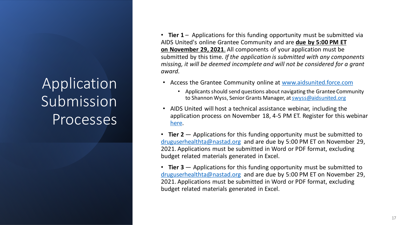# Application Submission Processes

• **Tier 1** – Applications for this funding opportunity must be submitted via AIDS United's online Grantee Community and are **due by 5:00 PM ET on November 29, 2021**. All components of your application must be submitted by this time. *If the application is submitted with any components missing, it will be deemed incomplete and will not be considered for a grant award.*

- Access the Grantee Community online at [www.aidsunited.force.com](http://www.aidsunited.force.com)
	- Applicants should send questions about navigating the Grantee Community to Shannon Wyss, Senior Grants Manager, at [swyss@aidsunited.org](mailto:swyss@aidsunited.org)
- AIDS United will host a technical assistance webinar, including the application process on November 18, 4-5 PM ET. Register for this webinar [here.](https://zoom.us/webinar/register/WN_Jtnspho4QuWmXa3ZR3FxcQ)
- **Tier 2**  Applications for this funding opportunity must be submitted to [druguserhealthta@nastad.org](mailto:druguserhealthta@nastad.org) and are due by 5:00 PM ET on November 29, 2021. Applications must be submitted in Word or PDF format, excluding budget related materials generated in Excel.
- **Tier 3**  Applications for this funding opportunity must be submitted to [druguserhealthta@nastad.org](mailto:druguserhealthta@nastad.org) and are due by 5:00 PM ET on November 29, 2021. Applications must be submitted in Word or PDF format, excluding budget related materials generated in Excel.